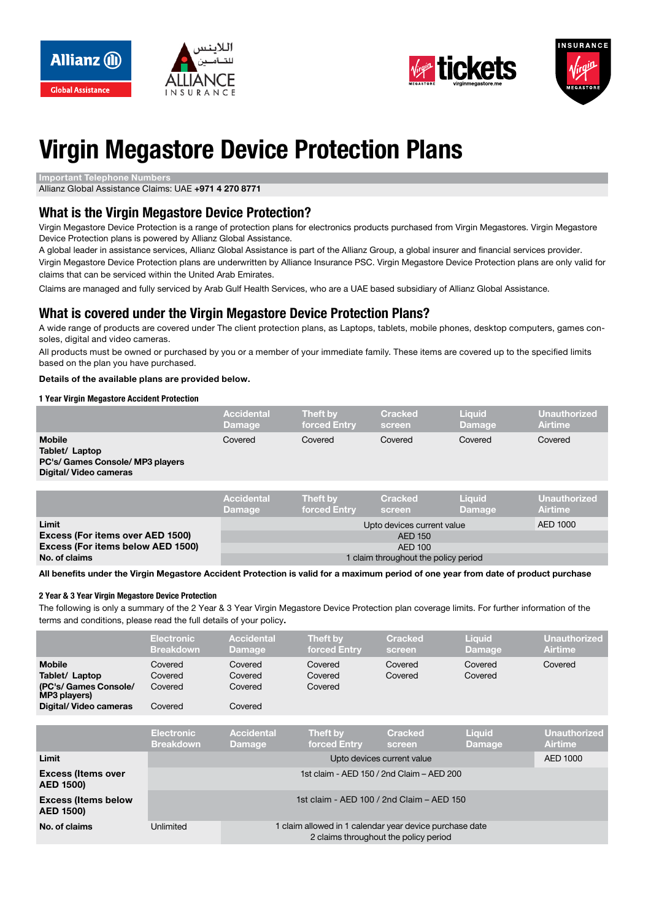





# **Virgin Megastore Device Protection Plans**

**Important Telephone Numbers** 

Allianz Global Assistance Claims: UAE +971 4 270 8771

### **What is the Virgin Megastore Device Protection?**

Virgin Megastore Device Protection is a range of protection plans for electronics products purchased from Virgin Megastores. Virgin Megastore Device Protection plans is powered by Allianz Global Assistance.

A global leader in assistance services, Allianz Global Assistance is part of the Allianz Group, a global insurer and financial services provider.

Virgin Megastore Device Protection plans are underwritten by Alliance Insurance PSC. Virgin Megastore Device Protection plans are only valid for claims that can be serviced within the United Arab Emirates.

Claims are managed and fully serviced by Arab Gulf Health Services, who are a UAE based subsidiary of Allianz Global Assistance.

### **What is covered under the Virgin Megastore Device Protection Plans?**

A wide range of products are covered under The client protection plans, as Laptops, tablets, mobile phones, desktop computers, games con-<br>soles, digital and video cameras.

All products must be owned or purchased by you or a member of your immediate family. These items are covered up to the specified limits based on the plan you have purchased.

#### Details of the available plans are provided below.

#### **1 Year Virgin Megastore Accident Protection**

|                                                                                              | <b>Accidental</b><br><b>Damage</b> | Theft by<br>forced Entry | <b>Cracked</b><br>screen | <b>Liquid</b><br><b>Damage</b> | <b>Unauthorized</b><br><b>Airtime</b> |
|----------------------------------------------------------------------------------------------|------------------------------------|--------------------------|--------------------------|--------------------------------|---------------------------------------|
| <b>Mobile</b><br>Tablet/ Laptop<br>PC's/ Games Console/ MP3 players<br>Digital/Video cameras | Covered                            | Covered                  | Covered                  | Covered                        | Covered                               |
|                                                                                              | <b>Accidental</b>                  | <b>Theft by</b>          | <b>Cracked</b>           | <b>Liquid</b>                  | Unauthorized                          |

|                                         | <b>Damage</b>                                   | forced Entry | screen | Damage | <b>Airtime</b> |  |
|-----------------------------------------|-------------------------------------------------|--------------|--------|--------|----------------|--|
| Limit                                   |                                                 | AED 1000     |        |        |                |  |
| <b>Excess (For items over AED 1500)</b> | AED 150                                         |              |        |        |                |  |
| Excess (For items below AED 1500)       | AFD 100<br>I claim throughout the policy period |              |        |        |                |  |
| No. of claims                           |                                                 |              |        |        |                |  |

All benefits under the Virgin Megastore Accident Protection is valid for a maximum period of one year from date of product purchase

#### **2 Year & 3 Year Virgin Megastore Device Protection**

The following is only a summary of the 2 Year & 3 Year Virgin Megastore Device Protection plan coverage limits. For further information of the terms and conditions, please read the full details of your policy.

|                                                                                                    | <b>Electronic</b><br><b>Breakdown</b>                                | <b>Accidental</b><br><b>Damage</b>       | Theft by<br>forced Entry        | <b>Cracked</b><br>screen | <b>Liquid</b><br><b>Damage</b> | <b>Unauthorized</b><br><b>Airtime</b> |  |
|----------------------------------------------------------------------------------------------------|----------------------------------------------------------------------|------------------------------------------|---------------------------------|--------------------------|--------------------------------|---------------------------------------|--|
| <b>Mobile</b><br>Tablet/ Laptop<br>(PC's/ Games Console/<br>MP3 players)<br>Digital/ Video cameras | Covered<br>Covered<br>Covered<br>Covered                             | Covered<br>Covered<br>Covered<br>Covered | Covered<br>Covered<br>Covered   | Covered<br>Covered       | Covered<br>Covered             | Covered                               |  |
|                                                                                                    |                                                                      |                                          |                                 |                          |                                |                                       |  |
|                                                                                                    | <b>Electronic</b><br><b>Breakdown</b>                                | <b>Accidental</b><br><b>Damage</b>       | <b>Theft by</b><br>forced Entrv | <b>Cracked</b><br>screen | <b>Liquid</b><br>Damage        | <b>Unauthorized</b><br><b>Airtime</b> |  |
| Limit                                                                                              |                                                                      | Upto devices current value<br>AED 1000   |                                 |                          |                                |                                       |  |
| <b>Excess (Items over</b><br><b>AED 1500)</b>                                                      | 1st claim - AED 150 / 2nd Claim - AED 200                            |                                          |                                 |                          |                                |                                       |  |
| <b>Excess (Items below</b><br><b>AED 1500)</b>                                                     | 1st claim - AED 100 / 2nd Claim – AED 150                            |                                          |                                 |                          |                                |                                       |  |
| No. of claims                                                                                      | 1 claim allowed in 1 calendar year device purchase date<br>Unlimited |                                          |                                 |                          |                                |                                       |  |

1 claim allowed in 1 calendar year device purchase date 2 claims throughout the policy period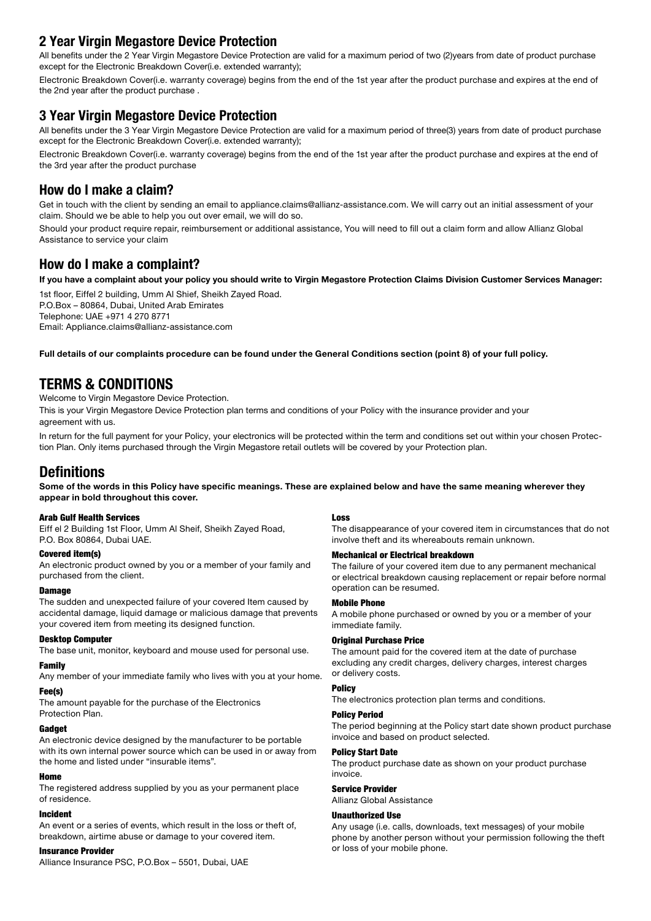### **2 Year Virgin Megastore Device Protection**

All benefits under the 2 Year Virgin Megastore Device Protection are valid for a maximum period of two (2)vears from date of product purchase except for the Electronic Breakdown Cover(i.e. extended warranty);

Electronic Breakdown Cover(i.e. warranty coverage) begins from the end of the 1st year after the product purchase and expires at the end of the 2nd year after the product purchase.

### **8 Year Virgin Megastore Device Protection**

All benefits under the 3 Year Virgin Megastore Device Protection are valid for a maximum period of three(3) years from date of product purchase except for the Electronic Breakdown Cover (i.e. extended warranty);

Electronic Breakdown Cover(i.e. warranty coverage) begins from the end of the 1st year after the product purchase and expires at the end of the 3rd year after the product purchase

### **How do I make a claim?**

Get in touch with the client by sending an email to appliance.claims@allianz-assistance.com. We will carry out an initial assessment of your claim. Should we be able to help you out over email, we will do so.

Should your product require repair, reimbursement or additional assistance, You will need to fill out a claim form and allow Allianz Global Assistance to service your claim

### **How do I make a complaint?**

If you have a complaint about your policy you should write to Virgin Megastore Protection Claims Division Customer Services Manager:

1st floor, Eiffel 2 building, Umm Al Shief, Sheikh Zayed Road. P.O.Box - 80864, Dubai, United Arab Emirates Telephone: UAE +971 4 270 8771 Email: Appliance.claims@allianz-assistance.com

Full details of our complaints procedure can be found under the General Conditions section (point 8) of your full policy.

### **CONDITIONS & TERMS**

Welcome to Virgin Megastore Device Protection.

This is your Virgin Megastore Device Protection plan terms and conditions of your Policy with the insurance provider and your agreement with us.

tion Plan. Only items purchased through the Virgin Megastore retail outlets will be covered by your Protection plan. In return for the full payment for your Policy, your electronics will be protected within the term and conditions set out within your chosen Protec-

### **Definitions**

Some of the words in this Policy have specific meanings. These are explained below and have the same meaning wherever they appear in bold throughout this cover.

#### **Arab Gulf Health Services**

Eiff el 2 Building 1st Floor, Umm Al Sheif, Sheikh Zayed Road, P.O. Box 80864, Dubai UAE.

#### Covered item(s)

An electronic product owned by you or a member of your family and purchased from the client.

#### **Damage**

The sudden and unexpected failure of your covered Item caused by accidental damage, liquid damage or malicious damage that prevents your covered item from meeting its designed function.

#### Desktop Computer

The base unit, monitor, keyboard and mouse used for personal use.

#### Family

Any member of your immediate family who lives with you at your home.

#### Fee(s)

The amount payable for the purchase of the Electronics Protection Plan.

#### **Gadget**

An electronic device designed by the manufacturer to be portable with its own internal power source which can be used in or away from the home and listed under "insurable items".

#### Home

The registered address supplied by you as your permanent place of residence

#### Incident

An event or a series of events, which result in the loss or theft of, breakdown, airtime abuse or damage to your covered item.

#### **Insurance Provider**

Alliance Insurance PSC, P.O.Box - 5501, Dubai, UAE

#### Loss

The disappearance of your covered item in circumstances that do not involve theft and its whereabouts remain unknown.

#### **Mechanical or Electrical breakdown**

The failure of your covered item due to any permanent mechanical or electrical breakdown causing replacement or repair before normal operation can be resumed.

#### **Mobile Phone**

A mobile phone purchased or owned by you or a member of your immediate family.

#### **Original Purchase Price**

The amount paid for the covered item at the date of purchase excluding any credit charges, delivery charges, interest charges or delivery costs.

### **Policy**

The electronics protection plan terms and conditions.

#### **Policy Period**

The period beginning at the Policy start date shown product purchase invoice and based on product selected.

#### **Policy Start Date**

The product purchase date as shown on your product purchase .invoice

#### **Service Provider**

Allianz Global Assistance

#### Use Unauthorized

Any usage (i.e. calls, downloads, text messages) of your mobile phone by another person without your permission following the theft or loss of your mobile phone.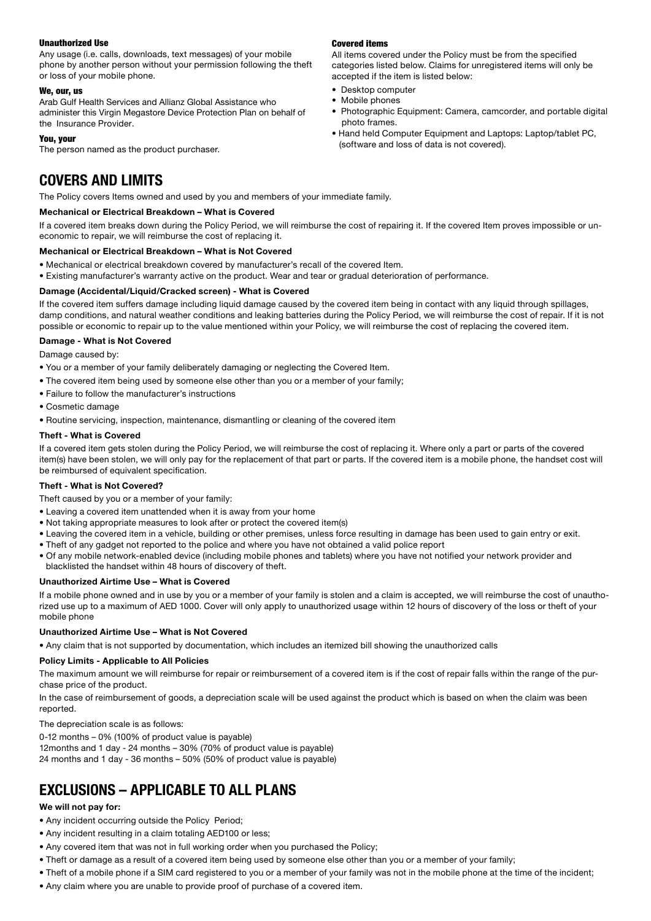#### **Unauthorized Use**

Any usage (i.e. calls, downloads, text messages) of your mobile phone by another person without your permission following the theft or loss of your mobile phone.

#### We, our, us

Arab Gulf Health Services and Allianz Global Assistance who administer this Virgin Megastore Device Protection Plan on behalf of the Insurance Provider.

#### You, your

The person named as the product purchaser.

### **LIMITS AND COVERS**

The Policy covers Items owned and used by you and members of your immediate family.

#### **Mechanical or Electrical Breakdown - What is Covered**

If a covered item breaks down during the Policy Period, we will reimburse the cost of repairing it. If the covered Item proves impossible or un-<br>economic to repair, we will reimburse the cost of replacing it.

#### **Mechanical or Electrical Breakdown - What is Not Covered**

- Mechanical or electrical breakdown covered by manufacturer's recall of the covered Item.
- Existing manufacturer's warranty active on the product. Wear and tear or gradual deterioration of performance.

#### **Damage (Accidental/Liquid/Cracked screen) - What is Covered**

If the covered item suffers damage including liquid damage caused by the covered item being in contact with any liquid through spillages, damp conditions, and natural weather conditions and leaking batteries during the Policy Period, we will reimburse the cost of repair. If it is not possible or economic to repair up to the value mentioned within your Policy, we will reimburse the cost of replacing the covered item.

#### **Damage - What is Not Covered**

Damage caused by:

- . You or a member of your family deliberately damaging or neglecting the Covered Item.
- The covered item being used by someone else other than you or a member of your family;
- Failure to follow the manufacturer's instructions
- Cosmetic damage
- Routine servicing, inspection, maintenance, dismantling or cleaning of the covered item

#### **Theft - What is Covered**

If a covered item gets stolen during the Policy Period, we will reimburse the cost of replacing it. Where only a part or parts of the covered item(s) have been stolen, we will only pay for the replacement of that part or parts. If the covered item is a mobile phone, the handset cost will be reimbursed of equivalent specification.

#### **Theft - What is Not Covered?**

Theft caused by you or a member of your family:

- Leaving a covered item unattended when it is away from your home
- Not taking appropriate measures to look after or protect the covered item(s)
- Leaving the covered item in a vehicle, building or other premises, unless force resulting in damage has been used to gain entry or exit.
- Theft of any gadget not reported to the police and where you have not obtained a valid police report
- Of any mobile network-enabled device (including mobile phones and tablets) where you have not notified your network provider and blacklisted the handset within 48 hours of discovery of theft.

#### **Unauthorized Airtime Use - What is Covered**

rized use up to a maximum of AED 1000. Cover will only apply to unauthorized usage within 12 hours of discovery of the loss or theft of your If a mobile phone owned and in use by you or a member of your family is stolen and a claim is accepted, we will reimburse the cost of unauthomobile phone

#### **Unauthorized Airtime Use - What is Not Covered**

• Any claim that is not supported by documentation, which includes an itemized bill showing the unauthorized calls

#### **Policy Limits - Applicable to All Policies**

The maximum amount we will reimburse for repair or reimbursement of a covered item is if the cost of repair falls within the range of the pur-<br>chase price of the product.

In the case of reimbursement of goods, a depreciation scale will be used against the product which is based on when the claim was been .reported

The depreciation scale is as follows:

 $0-12$  months – 0% (100% of product value is payable) 12months and 1 day - 24 months - 30% (70% of product value is payable) 24 months and 1 day - 36 months - 50% (50% of product value is payable)

### **EXCLUSIONS – APPLICABLE TO ALL PLANS**

#### **We will not pay for:**

- Any incident occurring outside the Policy Period;
- Any incident resulting in a claim totaling AED100 or less;
- Any covered item that was not in full working order when you purchased the Policy;
- Theft or damage as a result of a covered item being used by someone else other than you or a member of your family;
- Theft of a mobile phone if a SIM card registered to you or a member of your family was not in the mobile phone at the time of the incident;
- Any claim where you are unable to provide proof of purchase of a covered item.

#### **Covered items**

All items covered under the Policy must be from the specified categories listed below. Claims for unregistered items will only be accepted if the item is listed below:

- Desktop computer
- Mobile phones
- Photographic Equipment: Camera, camcorder, and portable digital photo frames.
- Hand held Computer Equipment and Laptops: Laptop/tablet PC, (software and loss of data is not covered).